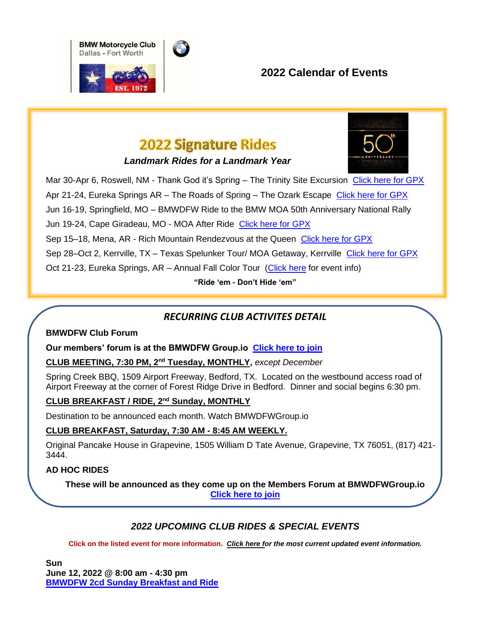



## **2022 Calendar of Events**

# **2022 Signature Rides**

*Landmark Rides for a Landmark Year*



Mar 30-Apr 6, Roswell, NM - Thank God it's Spring – The Trinity Site Excursion [Click here for GPX](https://www.dropbox.com/s/ncippfb9vp0xs4s/2022%200330%20Trinity%20Site%20NM%20V1.1.gpx?dl=0) Apr 21-24, Eureka Springs AR – The Roads of Spring – The Ozark Escape [Click here for GPX](https://www.dropbox.com/s/s55beq7ovkc4o5l/2022%200421%20Roads%20of%20Spring%20Ozark%20Escape.gpx?dl=0) Jun 16-19, Springfield, MO – BMWDFW Ride to the BMW MOA 50th Anniversary National Rally Jun 19-24, Cape Giradeau, MO - MOA After Ride [Click here for GPX](https://www.dropbox.com/s/5sftvyxpe010jd1/2022%200619%20MOA%20After%20Ride%20Missouri.gpx?dl=0) Sep 15–18, Mena, AR - Rich Mountain Rendezvous at the Queen [Click here for GPX](https://www.dropbox.com/s/jv6ntiy8jaa65fq/2022%200915%20Rich%20Mountain%20Rendezvous.gpx?dl=0) Sep 28–Oct 2, Kerrville, TX – Texas Spelunker Tour/ MOA Getaway, Kerrville [Click here for GPX](https://www.dropbox.com/s/2lfva238h2w3mm0/2022%200928%20Spelunker%20Tour%20%20MOA%20Getaway.gpx?dl=0) Oct 21-23, Eureka Springs, AR – Annual Fall Color Tour [\(Click here](https://bmwdfw.bmwmoa.org/event/bmwdfw-annual-fall-color-tour-4/) for event info) **"Ride 'em - Don't Hide 'em"**

## *RECURRING CLUB ACTIVITES DETAIL*

#### **BMWDFW Club Forum**

**Our members' forum is at the BMWDFW Group.io [Click here to join](https://groups.io/g/bmwdfw)**

**CLUB MEETING, 7:30 PM, 2nd Tuesday, MONTHLY,** *except December*

Spring Creek BBQ, 1509 Airport Freeway, Bedford, TX. Located on the westbound access road of Airport Freeway at the corner of Forest Ridge Drive in Bedford. Dinner and social begins 6:30 pm.

## **CLUB BREAKFAST / RIDE, 2nd Sunday, MONTHLY**

Destination to be announced each month. Watch BMWDFWGroup.io

#### **CLUB BREAKFAST, Saturday, 7:30 AM - 8:45 AM WEEKLY.**

Original Pancake House in Grapevine, 1505 William D Tate Avenue, Grapevine, TX 76051, (817) 421- 3444.

#### **AD HOC RIDES**

**These will be announced as they come up on the Members Forum at BMWDFWGroup.io [Click here to join](https://groups.io/g/bmwdfw)**

### *2022 UPCOMING CLUB RIDES & SPECIAL EVENTS*

**Click on the listed event for more information.** *[Click here](https://bmwdfw.bmwmoa.org/events/) for the most current updated event information.*

**Sun June 12, 2022 @ 8:00 am - 4:30 pm [BMWDFW 2cd Sunday Breakfast and Ride](https://bmwdfw.bmwmoa.org/event/bmwdfw-2cd-sunday-breakfast-and-ride-6/)**